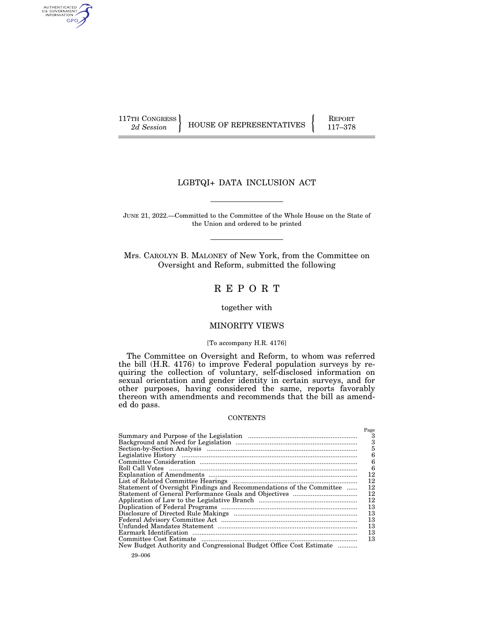AUTHENTICATED<br>U.S. GOVERNMENT<br>INFORMATION GPO

117TH CONGRESS HOUSE OF REPRESENTATIVES FEPORT 117-378

## LGBTQI+ DATA INCLUSION ACT

JUNE 21, 2022.—Committed to the Committee of the Whole House on the State of the Union and ordered to be printed

Mrs. CAROLYN B. MALONEY of New York, from the Committee on Oversight and Reform, submitted the following

# R E P O R T

together with

## MINORITY VIEWS

## [To accompany H.R. 4176]

The Committee on Oversight and Reform, to whom was referred the bill (H.R. 4176) to improve Federal population surveys by requiring the collection of voluntary, self-disclosed information on sexual orientation and gender identity in certain surveys, and for other purposes, having considered the same, reports favorably thereon with amendments and recommends that the bill as amended do pass.

## **CONTENTS**

|                                                                      | Page |
|----------------------------------------------------------------------|------|
|                                                                      | 3    |
|                                                                      | 3    |
| Section-by-Section Analysis Manual Communication and Section-        | 5    |
|                                                                      | 6    |
|                                                                      | 6    |
|                                                                      | 6    |
|                                                                      | 12   |
|                                                                      | 12   |
| Statement of Oversight Findings and Recommendations of the Committee | 12   |
|                                                                      | 12   |
|                                                                      | 12   |
|                                                                      | 13   |
|                                                                      | 13   |
|                                                                      | 13   |
|                                                                      | 13   |
|                                                                      | 13   |
|                                                                      | 13   |
| New Budget Authority and Congressional Budget Office Cost Estimate   |      |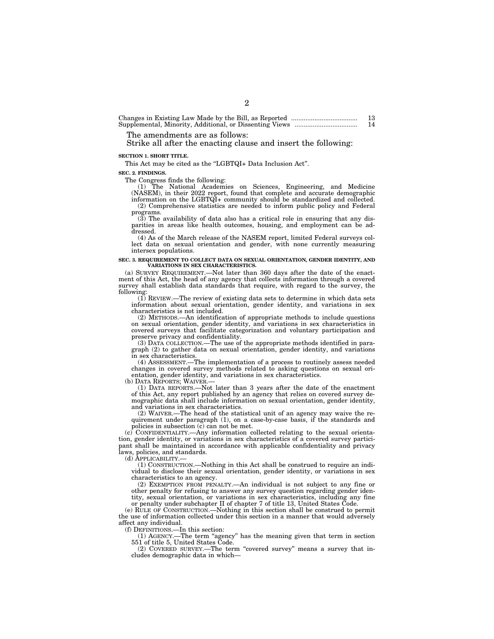Changes in Existing Law Made by the Bill, as Reported ..................................... 13 Supplemental, Minority, Additional, or Dissenting Views ................................... 14

The amendments are as follows:

Strike all after the enacting clause and insert the following:

**SECTION 1. SHORT TITLE.** 

This Act may be cited as the "LGBTQI+ Data Inclusion Act".

**SEC. 2. FINDINGS.** 

The Congress finds the following:<br>
(1) The National Academies on Sciences, Engineering, and Medicine<br>
(NASEM), in their 2022 report, found that complete and accurate demographic<br>
information on the LGBTQI+ community should (2) Comprehensive statistics are needed to inform public policy and Federal programs.

(3) The availability of data also has a critical role in ensuring that any disparities in areas like health outcomes, housing, and employment can be addressed.

(4) As of the March release of the NASEM report, limited Federal surveys collect data on sexual orientation and gender, with none currently measuring intersex populations.

#### **SEC. 3. REQUIREMENT TO COLLECT DATA ON SEXUAL ORIENTATION, GENDER IDENTITY, AND VARIATIONS IN SEX CHARACTERISTICS.**

(a) SURVEY REQUIREMENT.—Not later than 360 days after the date of the enactment of this Act, the head of any agency that collects information through a covered survey shall establish data standards that require, with regard to the survey, the following:

(1) REVIEW.—The review of existing data sets to determine in which data sets information about sexual orientation, gender identity, and variations in sex characteristics is not included.

(2) METHODS.—An identification of appropriate methods to include questions on sexual orientation, gender identity, and variations in sex characteristics in covered surveys that facilitate categorization and voluntary participation and preserve privacy and confidentiality.

(3) DATA COLLECTION.—The use of the appropriate methods identified in paragraph (2) to gather data on sexual orientation, gender identity, and variations in sex characteristics.

(4) ASSESSMENT.—The implementation of a process to routinely assess needed changes in covered survey methods related to asking questions on sexual orientation, gender identity, and variations in sex characteristics.

(1) DATA REPORTS,  $-Mot$  later than 3 years after the date of the enactment of this Act, any report published by an agency that relies on covered survey demographic data shall include information on sexual orientation, gender identity, and variations in sex characteristics.

(2) WAIVER.—The head of the statistical unit of an agency may waive the requirement under paragraph (1), on a case-by-case basis, if the standards and policies in subsection (c) can not be met.

(c) CONFIDENTIALITY.—Any information collected relating to the sexual orientation, gender identity, or variations in sex characteristics of a covered survey participant shall be maintained in accordance with applicable confidentiality and privacy laws, policies, and standards.

(d) APPLICABILITY.—

(1) CONSTRUCTION.—Nothing in this Act shall be construed to require an individual to disclose their sexual orientation, gender identity, or variations in sex characteristics to an agency.

(2) EXEMPTION FROM PENALTY.—An individual is not subject to any fine or other penalty for refusing to answer any survey question regarding gender identity, sexual orientation, or variations in sex characteristics, including any fine or penalty under subchapter II of chapter 7 of title 13, United States Code.

(e) RULE OF CONSTRUCTION.—Nothing in this section shall be construed to permit the use of information collected under this section in a manner that would adversely affect any individual.

(f) DEFINITIONS.—In this section: (1) AGENCY.—The term ''agency'' has the meaning given that term in section 551 of title 5, United States Code.

(2) COVERED SURVEY.—The term ''covered survey'' means a survey that includes demographic data in which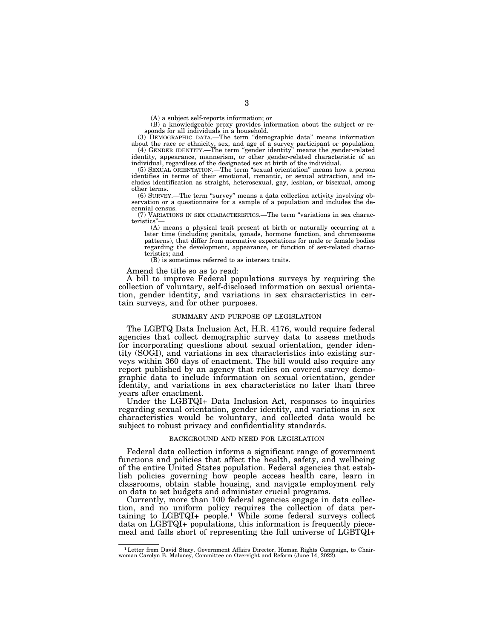(A) a subject self-reports information; or

(B) a knowledgeable proxy provides information about the subject or responds for all individuals in a household.

(3) DEMOGRAPHIC DATA.—The term ''demographic data'' means information about the race or ethnicity, sex, and age of a survey participant or population. (4) GENDER IDENTITY.—The term ''gender identity'' means the gender-related

identity, appearance, mannerism, or other gender-related characteristic of an individual, regardless of the designated sex at birth of the individual.

(5) SEXUAL ORIENTATION.—The term ''sexual orientation'' means how a person identifies in terms of their emotional, romantic, or sexual attraction, and includes identification as straight, heterosexual, gay, lesbian, or bisexual, among other terms.

(6) SURVEY.—The term ''survey'' means a data collection activity involving observation or a questionnaire for a sample of a population and includes the decennial census.

(7) VARIATIONS IN SEX CHARACTERISTICS.—The term ''variations in sex characteristics''—

(A) means a physical trait present at birth or naturally occurring at a later time (including genitals, gonads, hormone function, and chromosome patterns), that differ from normative expectations for male or female bodies regarding the development, appearance, or function of sex-related characteristics; and

(B) is sometimes referred to as intersex traits.

Amend the title so as to read:

A bill to improve Federal populations surveys by requiring the collection of voluntary, self-disclosed information on sexual orientation, gender identity, and variations in sex characteristics in certain surveys, and for other purposes.

### SUMMARY AND PURPOSE OF LEGISLATION

The LGBTQ Data Inclusion Act, H.R. 4176, would require federal agencies that collect demographic survey data to assess methods for incorporating questions about sexual orientation, gender identity (SOGI), and variations in sex characteristics into existing surveys within 360 days of enactment. The bill would also require any report published by an agency that relies on covered survey demographic data to include information on sexual orientation, gender identity, and variations in sex characteristics no later than three years after enactment.

Under the LGBTQI+ Data Inclusion Act, responses to inquiries regarding sexual orientation, gender identity, and variations in sex characteristics would be voluntary, and collected data would be subject to robust privacy and confidentiality standards.

### BACKGROUND AND NEED FOR LEGISLATION

Federal data collection informs a significant range of government functions and policies that affect the health, safety, and wellbeing of the entire United States population. Federal agencies that establish policies governing how people access health care, learn in classrooms, obtain stable housing, and navigate employment rely on data to set budgets and administer crucial programs.

Currently, more than 100 federal agencies engage in data collection, and no uniform policy requires the collection of data pertaining to LGBTQI+ people.1 While some federal surveys collect data on LGBTQI+ populations, this information is frequently piecemeal and falls short of representing the full universe of LGBTQI+

<sup>1</sup>Letter from David Stacy, Government Affairs Director, Human Rights Campaign, to Chair-woman Carolyn B. Maloney, Committee on Oversight and Reform (June 14, 2022).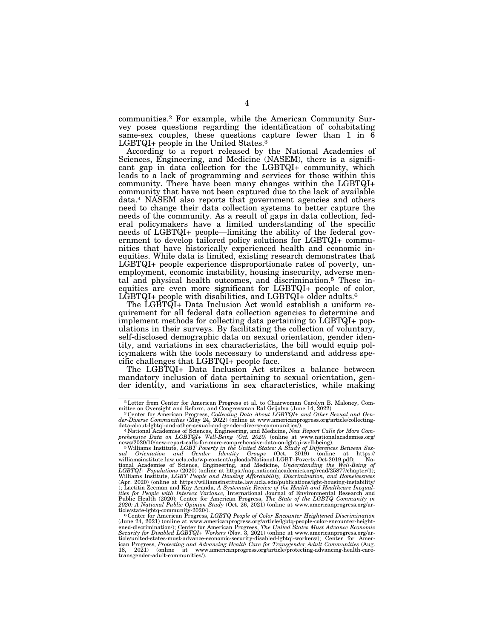communities.2 For example, while the American Community Survey poses questions regarding the identification of cohabitating same-sex couples, these questions capture fewer than 1 in  $\overline{6}$ LGBTQI+ people in the United States.3

According to a report released by the National Academies of Sciences, Engineering, and Medicine (NASEM), there is a significant gap in data collection for the LGBTQI+ community, which leads to a lack of programming and services for those within this community. There have been many changes within the LGBTQI+ community that have not been captured due to the lack of available data.4 NASEM also reports that government agencies and others need to change their data collection systems to better capture the needs of the community. As a result of gaps in data collection, federal policymakers have a limited understanding of the specific needs of LGBTQI+ people—limiting the ability of the federal government to develop tailored policy solutions for LGBTQI+ communities that have historically experienced health and economic inequities. While data is limited, existing research demonstrates that LGBTQI+ people experience disproportionate rates of poverty, unemployment, economic instability, housing insecurity, adverse mental and physical health outcomes, and discrimination.5 These inequities are even more significant for LGBTQI+ people of color, LGBTQI+ people with disabilities, and LGBTQI+ older adults.<sup>6</sup>

The LGBTQI+ Data Inclusion Act would establish a uniform requirement for all federal data collection agencies to determine and implement methods for collecting data pertaining to LGBTQI+ populations in their surveys. By facilitating the collection of voluntary, self-disclosed demographic data on sexual orientation, gender identity, and variations in sex characteristics, the bill would equip policymakers with the tools necessary to understand and address specific challenges that LGBTQI+ people face.

The LGBTQI+ Data Inclusion Act strikes a balance between mandatory inclusion of data pertaining to sexual orientation, gender identity, and variations in sex characteristics, while making

 $2$  Letter from Center for American Progress et al. to Chairwoman Carolyn B. Maloney, Committee on Oversight and Reform, and Congressman Ral Grijalva (June 14, 2022).

mittee on Oversight and Reform, and Congressman Ral Grijalva (June 14, 2022).<br><sup>3</sup> Center for American Progress, Collecting Data About LGBTQI+ and Other Sexual and Gen-<br>der-Diverse Communities (May 24, 2022) (online at www.

data-about-lgbtqi-and-other-sexual-and-gender-diverse-communities/).<br>"National Academies of Sciences, Engineering, and Medicine, *New Report Calls for More Com-*<br>prehensive Data on LGBTQI+ Well-Being (Oct. 2020) (on

news/2020/10/new-report-calls-for-more-comprehensive-data-on-lgbtqi-well-being).<br>  $^{5}$ Williams Institute, *LGBT Poverty in the United States:* A St*udy of Differences Between Sexual Orientation and Gender Identity Groups* Williams Institute, *LGBT People and Housing Affordability, Discrimination, and Homelessness*<br>(Apr. 2020) (online at https://williamsinstitute.law.ucla.edu/publications/lgbt-housing-instability/<br>); Laetitia Zeeman and Kay ities for People with Intersex Variance, International Journal of Environmental Research and<br>Public Health (2020); Center for American Progress, The State of the LGBTQ Community in<br>2020: A National Public Opinion Study (Oc ticle/state-lgbtq-community-2020/). 6 Center for American Progress, *LGBTQ People of Color Encounter Heightened Discrimination* 

<sup>(</sup>June 24, 2021) (online at www.americanprogress.org/article/lgbtq-people-color-encounter-height-<br>ened-discrimination/); Center for American Progress, *The United States Must Advance Economic*<br>Security for Disabled LGBTQ1+ ticle/united-states-must-advance-economic-security-disabled-lgbtqi-workers/); Center for American Progress, *Protecting and Advancing Health Care for Transgender Adult Communities* (Aug. 18, 2021) (online at www.americanprogress.org/article/protecting-advancing-health-caretransgender-adult-communities/).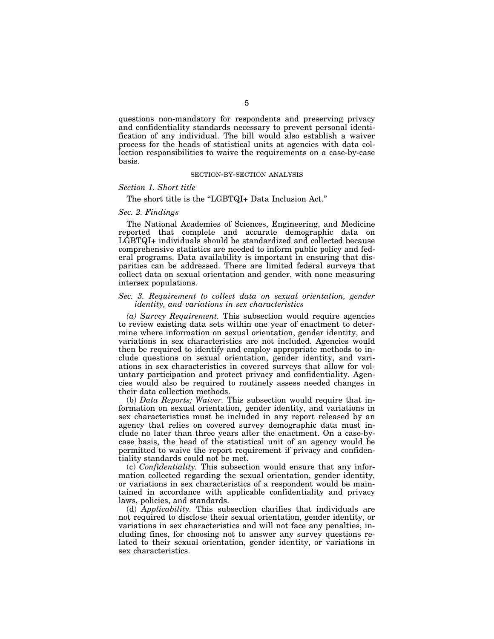questions non-mandatory for respondents and preserving privacy and confidentiality standards necessary to prevent personal identification of any individual. The bill would also establish a waiver process for the heads of statistical units at agencies with data collection responsibilities to waive the requirements on a case-by-case basis.

### SECTION-BY-SECTION ANALYSIS

## *Section 1. Short title*

## The short title is the "LGBTQI+ Data Inclusion Act."

### *Sec. 2. Findings*

The National Academies of Sciences, Engineering, and Medicine reported that complete and accurate demographic data on LGBTQI+ individuals should be standardized and collected because comprehensive statistics are needed to inform public policy and federal programs. Data availability is important in ensuring that disparities can be addressed. There are limited federal surveys that collect data on sexual orientation and gender, with none measuring intersex populations.

## *Sec. 3. Requirement to collect data on sexual orientation, gender identity, and variations in sex characteristics*

*(a) Survey Requirement.* This subsection would require agencies to review existing data sets within one year of enactment to determine where information on sexual orientation, gender identity, and variations in sex characteristics are not included. Agencies would then be required to identify and employ appropriate methods to include questions on sexual orientation, gender identity, and variations in sex characteristics in covered surveys that allow for voluntary participation and protect privacy and confidentiality. Agencies would also be required to routinely assess needed changes in their data collection methods.

(b) *Data Reports; Waiver.* This subsection would require that information on sexual orientation, gender identity, and variations in sex characteristics must be included in any report released by an agency that relies on covered survey demographic data must include no later than three years after the enactment. On a case-bycase basis, the head of the statistical unit of an agency would be permitted to waive the report requirement if privacy and confidentiality standards could not be met.

(c) *Confidentiality.* This subsection would ensure that any information collected regarding the sexual orientation, gender identity, or variations in sex characteristics of a respondent would be maintained in accordance with applicable confidentiality and privacy laws, policies, and standards.

(d) *Applicability.* This subsection clarifies that individuals are not required to disclose their sexual orientation, gender identity, or variations in sex characteristics and will not face any penalties, including fines, for choosing not to answer any survey questions related to their sexual orientation, gender identity, or variations in sex characteristics.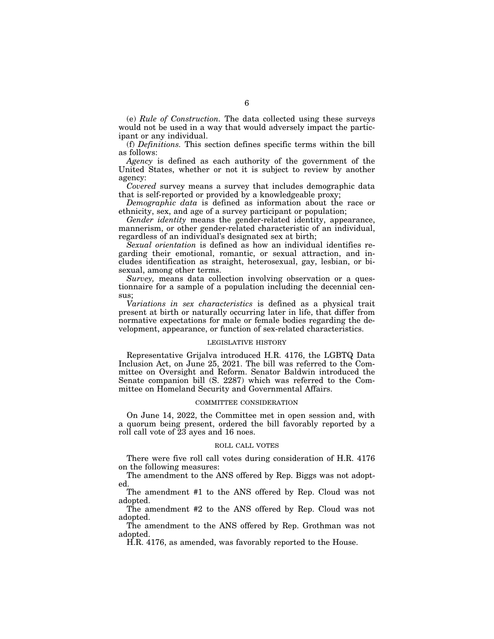(e) *Rule of Construction.* The data collected using these surveys would not be used in a way that would adversely impact the participant or any individual.

(f) *Definitions.* This section defines specific terms within the bill as follows:

*Agency* is defined as each authority of the government of the United States, whether or not it is subject to review by another agency:

*Covered* survey means a survey that includes demographic data that is self-reported or provided by a knowledgeable proxy;

*Demographic data* is defined as information about the race or ethnicity, sex, and age of a survey participant or population;

*Gender identity* means the gender-related identity, appearance, mannerism, or other gender-related characteristic of an individual, regardless of an individual's designated sex at birth;

*Sexual orientation* is defined as how an individual identifies regarding their emotional, romantic, or sexual attraction, and includes identification as straight, heterosexual, gay, lesbian, or bisexual, among other terms.

*Survey,* means data collection involving observation or a questionnaire for a sample of a population including the decennial census;

*Variations in sex characteristics* is defined as a physical trait present at birth or naturally occurring later in life, that differ from normative expectations for male or female bodies regarding the development, appearance, or function of sex-related characteristics.

### LEGISLATIVE HISTORY

Representative Grijalva introduced H.R. 4176, the LGBTQ Data Inclusion Act, on June 25, 2021. The bill was referred to the Committee on Oversight and Reform. Senator Baldwin introduced the Senate companion bill (S. 2287) which was referred to the Committee on Homeland Security and Governmental Affairs.

### COMMITTEE CONSIDERATION

On June 14, 2022, the Committee met in open session and, with a quorum being present, ordered the bill favorably reported by a roll call vote of 23 ayes and 16 noes.

### ROLL CALL VOTES

There were five roll call votes during consideration of H.R. 4176 on the following measures:

The amendment to the ANS offered by Rep. Biggs was not adopted.

The amendment #1 to the ANS offered by Rep. Cloud was not adopted.

The amendment #2 to the ANS offered by Rep. Cloud was not adopted.

The amendment to the ANS offered by Rep. Grothman was not adopted.

H.R. 4176, as amended, was favorably reported to the House.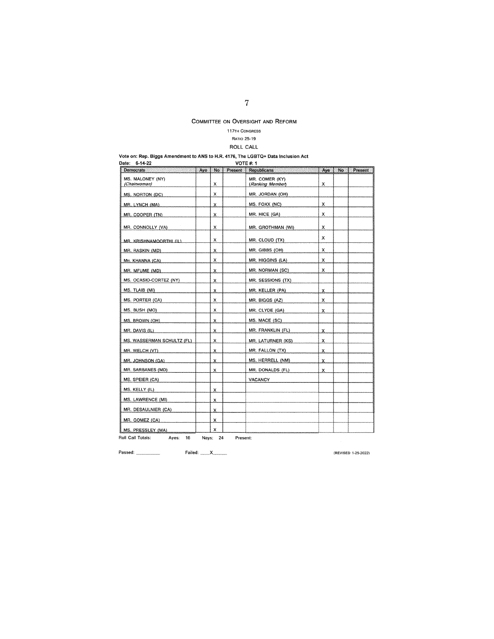## **117TH CONGRESS**

## RATIO 25-19

# ROLL CALL

|               | Vote on: Rep. Biggs Amendment to ANS to H.R. 4176, The LGBTQ+ Data Inclusion Act |
|---------------|----------------------------------------------------------------------------------|
| Date: 6-14-22 | <b>VOTE #: 1</b>                                                                 |

| 6-14-22<br><b>VOTE #: 1</b><br>Date: |     |          |          |                                    |      |     |         |  |
|--------------------------------------|-----|----------|----------|------------------------------------|------|-----|---------|--|
| Democrats                            | Aye | No       | Present  | Republicans                        | Aye. | No. | Present |  |
| MS. MALONEY (NY)<br>(Chairwoman)     |     | х        |          | MR. COMER (KY)<br>(Ranking Member) | х    |     |         |  |
| MS. NORTON (DC)                      |     | x        |          | MR. JORDAN (OH)                    |      |     |         |  |
| MR. LYNCH (MA)                       |     | x        |          | MS. FOXX (NC)                      | x    |     |         |  |
| MR. COOPER (TN)                      |     | χ        |          | MR. HICE (GA)                      | x    |     |         |  |
| MR. CONNOLLY (VA)                    |     | х        |          | MR. GROTHMAN (WI)                  | x    |     |         |  |
| MR. KRISHNAMOORTHI (IL)              |     | x        |          | MR. CLOUD (TX)                     | x    |     |         |  |
| MR. RASKIN (MD)                      |     | x        |          | MR. GIBBS (OH)                     | x    |     |         |  |
| MR. KHANNA (CA)                      |     | x        |          | MR. HIGGINS (LA)                   | x    |     |         |  |
| MR. MFUME (MD)                       |     | x        |          | MR. NORMAN (SC)                    | x    |     |         |  |
| MS. OCASIO-CORTEZ (NY)               |     | x        |          | MR. SESSIONS (TX)                  |      |     |         |  |
| MS. TLAIB (MI)                       |     | x        |          | MR. KELLER (PA)                    | x    |     |         |  |
| MS. PORTER (CA)                      |     | х        |          | MR. BIGGS (AZ)                     | x    |     |         |  |
| MS. BUSH (MO)                        |     | x        |          | MR. CLYDE (GA)                     | x    |     |         |  |
| MS. BROWN (OH)                       |     | x        |          | MS. MACE (SC)                      |      |     |         |  |
| MR. DAVIS (IL)                       |     | x        |          | MR. FRANKLIN (FL)                  | x    |     |         |  |
| MS. WASSERMAN SCHULTZ (FL)           |     | x        |          | <b>MR. LATURNER (KS)</b>           | x    |     |         |  |
| MR. WELCH (VT)                       |     | x        |          | MR. FALLON (TX)                    | x    |     |         |  |
| MR. JOHNSON (GA)                     |     | x        |          | MS. HERRELL (NM)                   | x    |     |         |  |
| MR. SARBANES (MD)                    |     | x        |          | MR. DONALDS (FL)                   | x    |     |         |  |
| MS. SPEIER (CA)                      |     |          |          | <b>VACANCY</b>                     |      |     |         |  |
| MS. KELLY (IL)                       |     | х        |          |                                    |      |     |         |  |
| MS. LAWRENCE (MI)                    |     | x        |          |                                    |      |     |         |  |
| MR. DESAULNIER (CA)                  |     | X        |          |                                    |      |     |         |  |
| MR. GOMEZ (CA)                       |     | x        |          |                                    |      |     |         |  |
| MS. PRESSLEY (MA)                    |     | x        |          |                                    |      |     |         |  |
| Roll Call Totals:<br>Ayes: 16        |     | Nays: 24 | Present: |                                    |      |     |         |  |

**Passed:** Failed: \_\_ x \_\_

**(REVISED 1-25-2022)**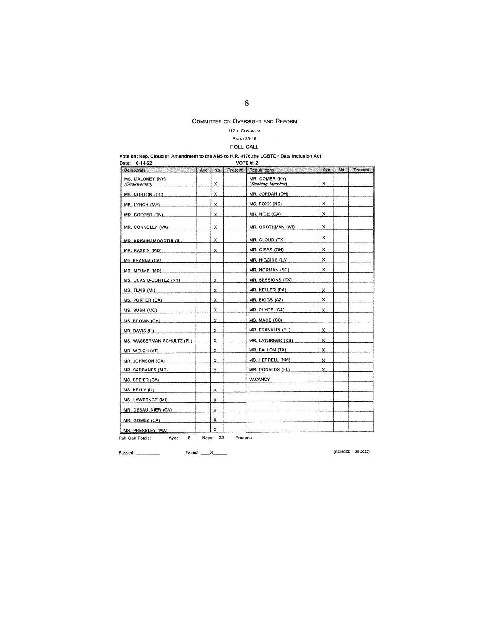## **117TH CONGRESS**

## RATIO 25-19

# ROLL CALL

# Vote on: Rep. Cloud #1 Amendment to the **ANS** to H.R. 4176,the LGBTQ+ Data Inclusion Act Date: 6-14-22 VOTE#· 2

| Democrats                                             | Aye | <b>No</b>     |          | Present   Republicans              | Aye | No. | Present |
|-------------------------------------------------------|-----|---------------|----------|------------------------------------|-----|-----|---------|
| MS. MALONEY (NY)<br>(Chairwoman)                      |     | х             |          | MR. COMER (KY)<br>(Ranking Member) | x   |     |         |
| MS. NORTON (DC)                                       |     | x             |          | MR. JORDAN (OH)                    |     |     |         |
| MR. LYNCH (MA)                                        |     | x             |          | MS. FOXX (NC)                      | x   |     |         |
| MR. COOPER (TN)                                       |     | х.            |          | MR. HICE (GA)                      | х   |     |         |
| MR. CONNOLLY (VA)                                     |     | x             |          | MR. GROTHMAN (WI)                  | x   |     |         |
| MR. KRISHNAMOORTHI (IL)                               |     | x             |          | MR. CLOUD (TX)                     | x   |     |         |
| MR. RASKIN (MD)                                       |     | x             |          | MR. GIBBS (OH)                     | x   |     |         |
| MR. KHANNA (CA)                                       |     |               |          | MR. HIGGINS (LA)                   | x   |     |         |
| MR. MFUME (MD)                                        |     |               |          | MR. NORMAN (SC)                    | x   |     |         |
| MS. OCASIO-CORTEZ (NY)                                |     | X.            |          | MR. SESSIONS (TX)                  |     |     |         |
| MS. TLAIB (MI)                                        |     | x             |          | MR. KELLER (PA)                    | x   |     |         |
| MS. PORTER (CA)                                       |     | x             |          | MR. BIGGS (AZ)                     | x   |     |         |
| MS. BUSH (MO)                                         |     | x             |          | MR. CLYDE (GA)                     | x   |     |         |
| MS. BROWN (OH)                                        |     | x             |          | MS. MACE (SC)                      |     |     |         |
| $MR$ , DAVIS $(IL)$                                   |     | x             |          | MR. FRANKLIN (FL)                  | х   |     |         |
| MS. WASSERMAN SCHULTZ (FL)                            |     | X.            |          | MR. LATURNER (KS)                  | х   |     |         |
| MR. WELCH (VT)                                        |     | x             |          | MR. FALLON (TX)                    | x   |     |         |
| MR. JOHNSON (GA)                                      |     | x             |          | MS. HERRELL (NM)                   | x   |     |         |
| MR. SARBANES (MD)                                     |     | x             |          | MR. DONALDS (FL)                   | x   |     |         |
| MS. SPEIER (CA)                                       |     |               |          | <b>VACANCY</b>                     |     |     |         |
| MS. KELLY (IL)                                        |     | x             |          |                                    |     |     |         |
| MS. LAWRENCE (MI)                                     |     | x             |          |                                    |     |     |         |
| MR. DESAULNIER (CA)                                   |     | x             |          |                                    |     |     |         |
| MR. GOMEZ (CA)                                        |     | х             |          |                                    |     |     |         |
| MS. PRESSLEY (MA)<br>16<br>Roll Call Totals:<br>Ayes: |     | x<br>Nays: 22 | Present: |                                    |     |     |         |

**Passed:** Failed: \_\_ <sup>x</sup>\_\_ **(REVISED 1-25-2022)**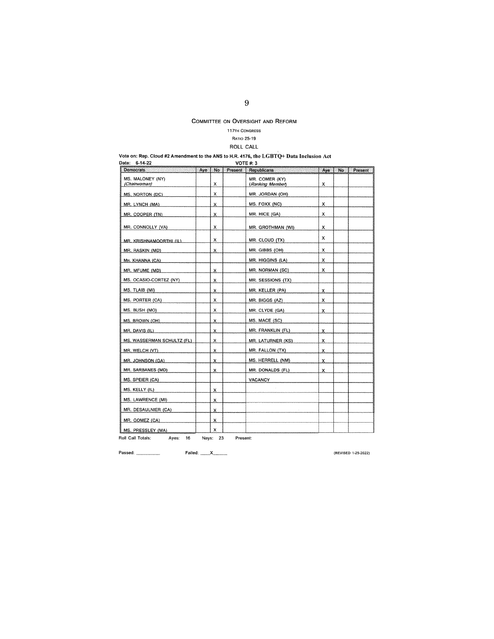## **117TH CONGRESS**

## RATIO 25-19

## ROLL CALL

#### Vote on: Rep. Cloud #2 Amendment to the ANS to H.R. 4176, the LGBTQ+ Data Inclusion Act

| $6 - 14 - 22$<br><b>VOTE #: 3</b><br>Date: |     |          |          |                                    |     |     |         |  |  |
|--------------------------------------------|-----|----------|----------|------------------------------------|-----|-----|---------|--|--|
| Democrats                                  | Aye | No       | Present  | Republicans                        | Aye | No. | Present |  |  |
| MS. MALONEY (NY)<br>(Chairwoman)           |     | x        |          | MR. COMER (KY)<br>(Ranking Member) | x   |     |         |  |  |
| MS. NORTON (DC)                            |     | x        |          | MR. JORDAN (OH)                    |     |     |         |  |  |
| MR. LYNCH (MA)                             |     | х        |          | MS. FOXX (NC)                      | x   |     |         |  |  |
| MR. COOPER (TN)                            |     | x        |          | MR. HICE (GA)                      | x   |     |         |  |  |
| MR. CONNOLLY (VA)                          |     | x        |          | MR. GROTHMAN (WI)                  | x   |     |         |  |  |
| MR. KRISHNAMOORTHI (IL)                    |     | х        |          | MR. CLOUD (TX)                     | x   |     |         |  |  |
| MR. RASKIN (MD)                            |     | x        |          | MR. GIBBS (OH)                     | x   |     |         |  |  |
| MR. KHANNA (CA)                            |     |          |          | MR. HIGGINS (LA)                   | x   |     |         |  |  |
| MR. MFUME (MD)                             |     | x        |          | MR. NORMAN (SC)                    | x   |     |         |  |  |
| MS. OCASIO-CORTEZ (NY)                     |     | x        |          | MR. SESSIONS (TX)                  |     |     |         |  |  |
| MS. TLAIB (MI)                             |     | х        |          | MR. KELLER (PA)                    | x   |     |         |  |  |
| MS. PORTER (CA)                            |     | x        |          | MR. BIGGS (AZ)                     | x   |     |         |  |  |
| MS. BUSH (MO)                              |     | x        |          | MR. CLYDE (GA)                     | x   |     |         |  |  |
| MS. BROWN (OH)                             |     | x        |          | MS. MACE (SC)                      |     |     |         |  |  |
| MR. DAVIS (IL)                             |     | x        |          | MR. FRANKLIN (FL)                  | x   |     |         |  |  |
| MS. WASSERMAN SCHULTZ (FL)                 |     | x        |          | MR. LATURNER (KS)                  | x   |     |         |  |  |
| MR. WELCH (VT)                             |     | x        |          | MR. FALLON (TX)                    | x   |     |         |  |  |
| MR. JOHNSON (GA)                           |     | x        |          | MS. HERRELL (NM)                   | x   |     |         |  |  |
| MR. SARBANES (MD)                          |     | x        |          | MR. DONALDS (FL)                   | x   |     |         |  |  |
| MS. SPEIER (CA)                            |     |          |          | VACANCY                            |     |     |         |  |  |
| MS. KELLY (IL)                             |     | x        |          |                                    |     |     |         |  |  |
| MS. LAWRENCE (MI)                          |     | x        |          |                                    |     |     |         |  |  |
| MR. DESAULNIER (CA)                        |     | X        |          |                                    |     |     |         |  |  |
| MR. GOMEZ (CA)                             |     | x        |          |                                    |     |     |         |  |  |
| MS. PRESSLEY (MA)                          |     | X        |          |                                    |     |     |         |  |  |
| Roll Call Totals:<br>Ayes:<br>16           |     | Nays: 23 | Present: |                                    |     |     |         |  |  |

**Passed: (REVISED 1 ·25-2022)**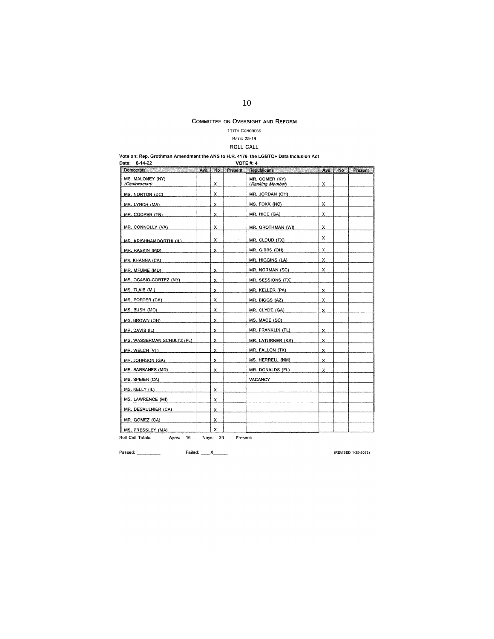## **117TH CONGRESS**

## RATIO 25-19

## ROLL CALL

#### Vote on: Rep. Grothman Amendment the ANS to H.R. 4176, the LGBTQ+ Data Inclusion Act

| 6-14-22<br>Date:                 |       |    | <b>VOTE #: 4</b> |                                    |     |    |         |
|----------------------------------|-------|----|------------------|------------------------------------|-----|----|---------|
| Democrats<br>San ya Tari         | Aye   | No | Present          | Republicans                        | Aye | No | Present |
| MS. MALONEY (NY)<br>(Chairwoman) |       | x  |                  | MR. COMER (KY)<br>(Ranking Member) | x   |    |         |
| <b>MS. NORTON (DC)</b>           |       | x  |                  | MR. JORDAN (OH)                    |     |    |         |
| MR. LYNCH (MA)                   |       | x  |                  | MS. FOXX (NC)                      | x   |    |         |
| MR. COOPER (TN)                  |       | x  |                  | MR. HICE (GA)                      | x   |    |         |
| MR. CONNOLLY (VA)                |       | x  |                  | MR. GROTHMAN (WI)                  | х   |    |         |
| MR. KRISHNAMOORTHI (IL).         |       | x  |                  | MR. CLOUD (TX)                     | x   |    |         |
| MR. RASKIN (MD)                  |       | x  |                  | MR. GIBBS (OH)                     | x   |    |         |
| MR. KHANNA (CA)                  |       |    |                  | MR. HIGGINS (LA)                   | x   |    |         |
| MR. MFUME (MD)                   |       | x  |                  | MR. NORMAN (SC)                    | x   |    |         |
| MS. OCASIO-CORTEZ (NY)           |       | x  |                  | MR. SESSIONS (TX)                  |     |    |         |
| MS. TLAIB (MI)                   |       | x  |                  | MR. KELLER (PA)                    | x   |    |         |
| MS. PORTER (CA)                  |       | x  |                  | MR. BIGGS (AZ)                     | х   |    |         |
| MS. BUSH (MO)                    |       | x  |                  | MR. CLYDE (GA)                     | X   |    |         |
| MS. BROWN (OH)                   |       | x  |                  | MS. MACE (SC)                      |     |    |         |
| MR. DAVIS (IL)                   |       | x  |                  | MR. FRANKLIN (FL)                  | X.  |    |         |
| MS. WASSERMAN SCHULTZ (FL)       |       | x  |                  | <b>MR. LATURNER (KS)</b>           | x   |    |         |
| MR. WELCH (VT)                   |       | x  |                  | MR. FALLON (TX)                    | x   |    |         |
| MR. JOHNSON (GA)                 |       | x  |                  | MS. HERRELL (NM)                   | x   |    |         |
| MR. SARBANES (MD)                |       | x  |                  | MR. DONALDS (FL)                   | x   |    |         |
| MS. SPEIER (CA)                  |       |    |                  | <b>VACANCY</b>                     |     |    |         |
| MS. KELLY (IL)                   |       | x  |                  |                                    |     |    |         |
| MS. LAWRENCE (MI)                |       | X. |                  |                                    |     |    |         |
| MR. DESAULNIER (CA)              |       | x  |                  |                                    |     |    |         |
| MR. GOMEZ (CA)                   |       | x  |                  |                                    |     |    |         |
| MS. PRESSLEY (MA)                |       | x  |                  |                                    |     |    |         |
| Roll Call Totals:<br>Aves:<br>16 | Nays: | 23 | Present:         |                                    |     |    |         |

**Passed:** Failed: \_\_ x \_\_

**(REVISED 1·25~2022)**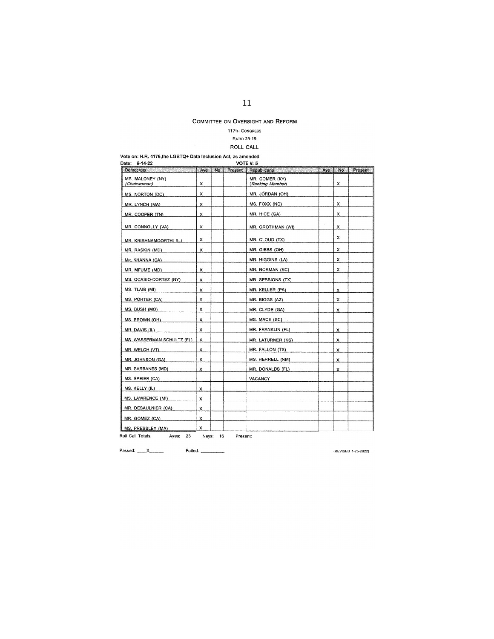## **117TH CONGRESS**

## RATIO 25-19

## ROLL CALL

Vote on: H.R. 4176,the LGBTQ+ Data Inclusion Act, as amended

| <b>VOTE #: 5</b><br>6-14-22<br>Date:                                                                                                                                         |     |     |         |                                    |      |    |         |  |  |
|------------------------------------------------------------------------------------------------------------------------------------------------------------------------------|-----|-----|---------|------------------------------------|------|----|---------|--|--|
| <b>Democrats</b><br>in de parte de l'Albert de l'Albert II.<br>Albert de l'Albert de l'Albert de l'Albert de l'Albert de l'Albert de l'Albert de l'Albert de l'Albert de l'A | Aye | No. | Present | Republicans                        | Aye. | No | Present |  |  |
| MS. MALONEY (NY)<br>(Chairwoman)                                                                                                                                             | х   |     |         | MR. COMER (KY)<br>(Ranking Member) |      | x  |         |  |  |
| MS. NORTON (DC)                                                                                                                                                              | х   |     |         | MR. JORDAN (OH)                    |      |    |         |  |  |
| MR. LYNCH (MA)                                                                                                                                                               | x   |     |         | MS. FOXX (NC)                      |      | x  |         |  |  |
| MR. COOPER (TN)                                                                                                                                                              | x   |     |         | MR. HICE (GA)                      |      | x  |         |  |  |
| MR. CONNOLLY (VA)                                                                                                                                                            | x   |     |         | MR. GROTHMAN (WI)                  |      | x  |         |  |  |
| MR. KRISHNAMOORTHI (IL)                                                                                                                                                      | x   |     |         | MR. CLOUD (TX)                     |      | x  |         |  |  |
| MR. RASKIN (MD)                                                                                                                                                              | X   |     |         | MR. GIBBS (OH)                     |      | x  |         |  |  |
| MR. KHANNA (CA)                                                                                                                                                              |     |     |         | MR. HIGGINS (LA)                   |      | x  |         |  |  |
| MR. MFUME (MD)                                                                                                                                                               | X   |     |         | MR. NORMAN (SC)                    |      | x  |         |  |  |
| MS. OCASIO-CORTEZ (NY)                                                                                                                                                       | x   |     |         | MR. SESSIONS (TX)                  |      |    |         |  |  |
| MS. TLAIB (MI)                                                                                                                                                               | x   |     |         | MR. KELLER (PA)                    |      | x  |         |  |  |
| MS. PORTER (CA)                                                                                                                                                              | x   |     |         | MR. BIGGS (AZ)                     |      | x  |         |  |  |
| MS. BUSH (MO)                                                                                                                                                                | x   |     |         | MR. CLYDE (GA)                     |      | x  |         |  |  |
| MS. BROWN (OH)                                                                                                                                                               | x   |     |         | MS. MACE (SC)                      |      |    |         |  |  |
| MR. DAVIS (IL)                                                                                                                                                               | x   |     |         | MR. FRANKLIN (FL)                  |      | x  |         |  |  |
| MS. WASSERMAN SCHULTZ (FL)                                                                                                                                                   | x   |     |         | MR. LATURNER (KS)                  |      | x  |         |  |  |
| MR. WELCH (VT)                                                                                                                                                               | x   |     |         | MR. FALLON (TX)                    |      | x  |         |  |  |
| MR. JOHNSON (GA)                                                                                                                                                             | X   |     |         | MS. HERRELL (NM)                   |      | x  |         |  |  |
| MR. SARBANES (MD)                                                                                                                                                            | x   |     |         | MR. DONALDS (FL)                   |      | х  |         |  |  |
| MS. SPEIER (CA)                                                                                                                                                              |     |     |         | VACANCY                            |      |    |         |  |  |
| MS. KELLY (IL)                                                                                                                                                               | x   |     |         |                                    |      |    |         |  |  |
| MS. LAWRENCE (MI)                                                                                                                                                            | x   |     |         |                                    |      |    |         |  |  |
| MR. DESAULNIER (CA)                                                                                                                                                          | x   |     |         |                                    |      |    |         |  |  |
| MR. GOMEZ (CA)                                                                                                                                                               | х   |     |         |                                    |      |    |         |  |  |
| MS. PRESSLEY (MA)                                                                                                                                                            | х   |     |         |                                    |      |    |         |  |  |

**Roll Call Totals:** Ayes: 23 Nays: 16 **Present:** 

Passed: <u>X\_\_\_\_\_\_</u> Failed: \_\_\_\_\_\_

**{REVISED 1-25-2022)**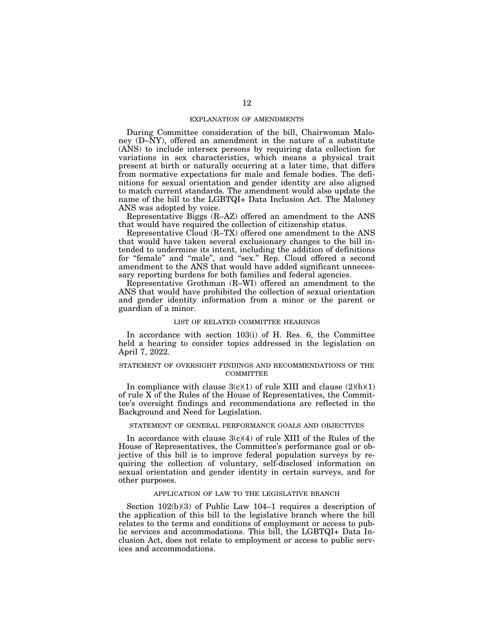### EXPLANATION OF AMENDMENTS

During Committee consideration of the bill, Chairwoman Maloney (D–NY), offered an amendment in the nature of a substitute (ANS) to include intersex persons by requiring data collection for variations in sex characteristics, which means a physical trait present at birth or naturally occurring at a later time, that differs from normative expectations for male and female bodies. The definitions for sexual orientation and gender identity are also aligned to match current standards. The amendment would also update the name of the bill to the LGBTQI+ Data Inclusion Act. The Maloney ANS was adopted by voice.

Representative Biggs (R–AZ) offered an amendment to the ANS that would have required the collection of citizenship status.

Representative Cloud (R–TX) offered one amendment to the ANS that would have taken several exclusionary changes to the bill intended to undermine its intent, including the addition of definitions for "female" and "male", and "sex." Rep. Cloud offered a second amendment to the ANS that would have added significant unnecessary reporting burdens for both families and federal agencies.

Representative Grothman (R–WI) offered an amendment to the ANS that would have prohibited the collection of sexual orientation and gender identity information from a minor or the parent or guardian of a minor.

### LIST OF RELATED COMMITTEE HEARINGS

In accordance with section 103(i) of H. Res. 6, the Committee held a hearing to consider topics addressed in the legislation on April 7, 2022.

## STATEMENT OF OVERSIGHT FINDINGS AND RECOMMENDATIONS OF THE **COMMITTEE**

In compliance with clause  $3(c)(1)$  of rule XIII and clause  $(2)(b)(1)$ of rule X of the Rules of the House of Representatives, the Committee's oversight findings and recommendations are reflected in the Background and Need for Legislation.

## STATEMENT OF GENERAL PERFORMANCE GOALS AND OBJECTIVES

In accordance with clause  $3(c)(4)$  of rule XIII of the Rules of the House of Representatives, the Committee's performance goal or objective of this bill is to improve federal population surveys by requiring the collection of voluntary, self-disclosed information on sexual orientation and gender identity in certain surveys, and for other purposes.

### APPLICATION OF LAW TO THE LEGISLATIVE BRANCH

Section 102(b)(3) of Public Law 104–1 requires a description of the application of this bill to the legislative branch where the bill relates to the terms and conditions of employment or access to public services and accommodations. This bill, the LGBTQI+ Data Inclusion Act, does not relate to employment or access to public services and accommodations.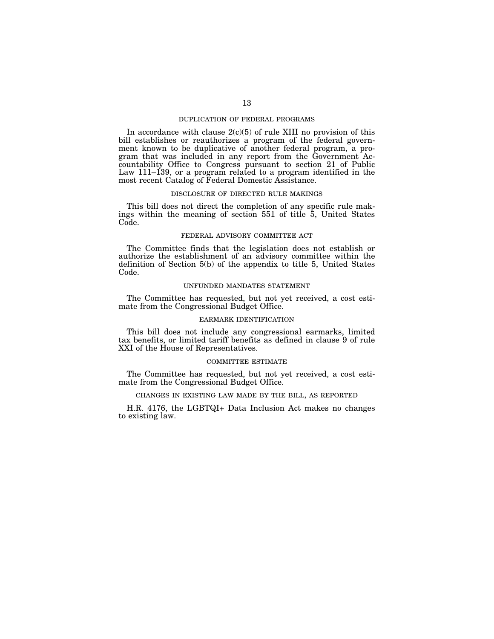## DUPLICATION OF FEDERAL PROGRAMS

In accordance with clause  $2(c)(5)$  of rule XIII no provision of this bill establishes or reauthorizes a program of the federal government known to be duplicative of another federal program, a program that was included in any report from the Government Accountability Office to Congress pursuant to section 21 of Public Law 111–139, or a program related to a program identified in the most recent Catalog of Federal Domestic Assistance.

### DISCLOSURE OF DIRECTED RULE MAKINGS

This bill does not direct the completion of any specific rule makings within the meaning of section 551 of title 5, United States Code.

### FEDERAL ADVISORY COMMITTEE ACT

The Committee finds that the legislation does not establish or authorize the establishment of an advisory committee within the definition of Section 5(b) of the appendix to title 5, United States Code.

### UNFUNDED MANDATES STATEMENT

The Committee has requested, but not yet received, a cost estimate from the Congressional Budget Office.

### EARMARK IDENTIFICATION

This bill does not include any congressional earmarks, limited tax benefits, or limited tariff benefits as defined in clause 9 of rule XXI of the House of Representatives.

## COMMITTEE ESTIMATE

The Committee has requested, but not yet received, a cost estimate from the Congressional Budget Office.

## CHANGES IN EXISTING LAW MADE BY THE BILL, AS REPORTED

H.R. 4176, the LGBTQI+ Data Inclusion Act makes no changes to existing law.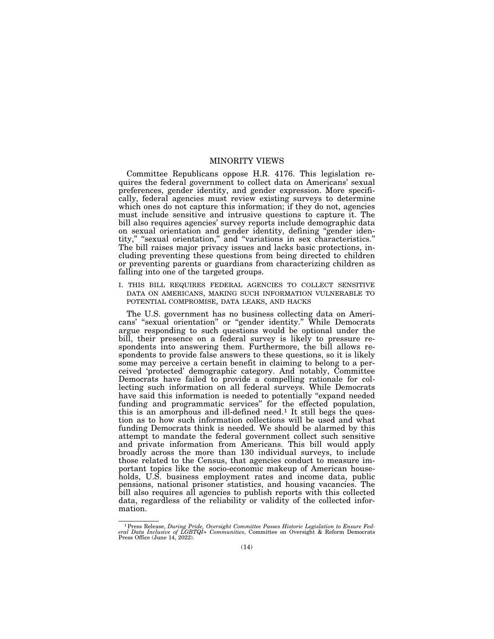## MINORITY VIEWS

Committee Republicans oppose H.R. 4176. This legislation requires the federal government to collect data on Americans' sexual preferences, gender identity, and gender expression. More specifically, federal agencies must review existing surveys to determine which ones do not capture this information; if they do not, agencies must include sensitive and intrusive questions to capture it. The bill also requires agencies' survey reports include demographic data on sexual orientation and gender identity, defining "gender identity,'' ''sexual orientation,'' and ''variations in sex characteristics.'' The bill raises major privacy issues and lacks basic protections, including preventing these questions from being directed to children or preventing parents or guardians from characterizing children as falling into one of the targeted groups.

I. THIS BILL REQUIRES FEDERAL AGENCIES TO COLLECT SENSITIVE DATA ON AMERICANS, MAKING SUCH INFORMATION VULNERABLE TO POTENTIAL COMPROMISE, DATA LEAKS, AND HACKS

The U.S. government has no business collecting data on Americans' ''sexual orientation'' or ''gender identity.'' While Democrats argue responding to such questions would be optional under the bill, their presence on a federal survey is likely to pressure respondents into answering them. Furthermore, the bill allows respondents to provide false answers to these questions, so it is likely some may perceive a certain benefit in claiming to belong to a perceived 'protected' demographic category. And notably, Committee Democrats have failed to provide a compelling rationale for collecting such information on all federal surveys. While Democrats have said this information is needed to potentially ''expand needed funding and programmatic services'' for the effected population, this is an amorphous and ill-defined need.1 It still begs the question as to how such information collections will be used and what funding Democrats think is needed. We should be alarmed by this attempt to mandate the federal government collect such sensitive and private information from Americans. This bill would apply broadly across the more than 130 individual surveys, to include those related to the Census, that agencies conduct to measure important topics like the socio-economic makeup of American households, U.S. business employment rates and income data, public pensions, national prisoner statistics, and housing vacancies. The bill also requires all agencies to publish reports with this collected data, regardless of the reliability or validity of the collected information.

<sup>1</sup>Press Release, *During Pride, Oversight Committee Passes Historic Legislation to Ensure Federal Data Inclusive of LGBTQI+ Communities*, Committee on Oversight & Reform Democrats Press Office (June 14, 2022).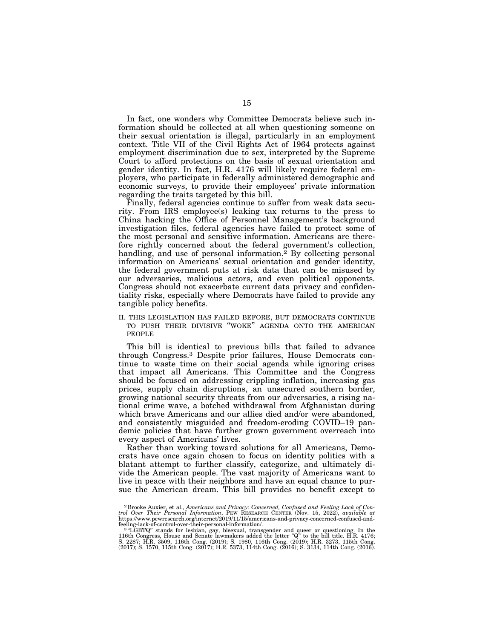In fact, one wonders why Committee Democrats believe such information should be collected at all when questioning someone on their sexual orientation is illegal, particularly in an employment context. Title VII of the Civil Rights Act of 1964 protects against employment discrimination due to sex, interpreted by the Supreme Court to afford protections on the basis of sexual orientation and gender identity. In fact, H.R. 4176 will likely require federal employers, who participate in federally administered demographic and economic surveys, to provide their employees' private information regarding the traits targeted by this bill.

Finally, federal agencies continue to suffer from weak data security. From IRS employee(s) leaking tax returns to the press to China hacking the Office of Personnel Management's background investigation files, federal agencies have failed to protect some of the most personal and sensitive information. Americans are therefore rightly concerned about the federal government's collection, handling, and use of personal information.<sup>2</sup> By collecting personal information on Americans' sexual orientation and gender identity, the federal government puts at risk data that can be misused by our adversaries, malicious actors, and even political opponents. Congress should not exacerbate current data privacy and confidentiality risks, especially where Democrats have failed to provide any tangible policy benefits.

II. THIS LEGISLATION HAS FAILED BEFORE, BUT DEMOCRATS CONTINUE TO PUSH THEIR DIVISIVE ''WOKE'' AGENDA ONTO THE AMERICAN PEOPLE

This bill is identical to previous bills that failed to advance through Congress.3 Despite prior failures, House Democrats continue to waste time on their social agenda while ignoring crises that impact all Americans. This Committee and the Congress should be focused on addressing crippling inflation, increasing gas prices, supply chain disruptions, an unsecured southern border, growing national security threats from our adversaries, a rising national crime wave, a botched withdrawal from Afghanistan during which brave Americans and our allies died and/or were abandoned, and consistently misguided and freedom-eroding COVID–19 pandemic policies that have further grown government overreach into every aspect of Americans' lives.

Rather than working toward solutions for all Americans, Democrats have once again chosen to focus on identity politics with a blatant attempt to further classify, categorize, and ultimately divide the American people. The vast majority of Americans want to live in peace with their neighbors and have an equal chance to pursue the American dream. This bill provides no benefit except to

<sup>2</sup> Brooke Auxier, et al., *Americans and Privacy: Concerned, Confused and Feeling Lack of Control Over Their Personal Information*, PEW RESEARCH CENTER (Nov. 15, 2022), *available at*  https://www.pewresearch.org/internet/2019/11/15/americans-and-privacy-concerned-confused-and-<br>feeling-lack-of-control-over-their-personal-information/.<br>- <sup>3</sup> "LGBTQ" stands for lesbian, gay, bisexual, transgender and queer

<sup>116</sup>th Congress, House and Senate lawmakers added the letter "Q" to the bill title. H.R. 4176;<br>S. 2287; H.R. 3509, 116th Cong. (2019); S. 1980, 116th Cong. (2019); H.R. 3273, 115th Cong.<br>(2017); S. 1570, 115th Cong. (2017);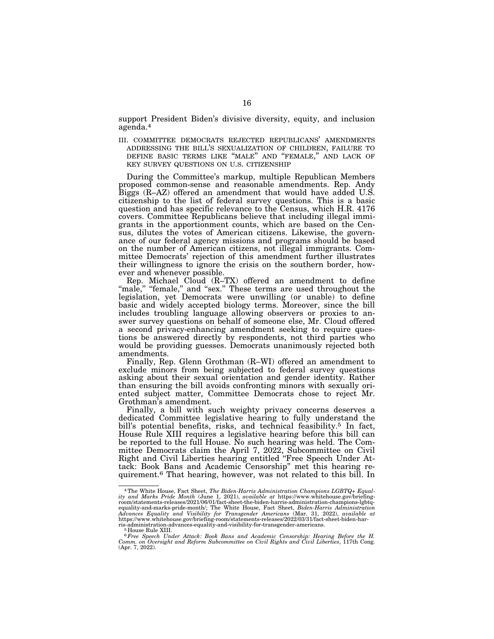support President Biden's divisive diversity, equity, and inclusion agenda.4

III. COMMITTEE DEMOCRATS REJECTED REPUBLICANS' AMENDMENTS ADDRESSING THE BILL'S SEXUALIZATION OF CHILDREN, FAILURE TO DEFINE BASIC TERMS LIKE ''MALE'' AND ''FEMALE,'' AND LACK OF KEY SURVEY QUESTIONS ON U.S. CITIZENSHIP

During the Committee's markup, multiple Republican Members proposed common-sense and reasonable amendments. Rep. Andy Biggs (R–AZ) offered an amendment that would have added U.S. citizenship to the list of federal survey questions. This is a basic question and has specific relevance to the Census, which H.R. 4176 covers. Committee Republicans believe that including illegal immigrants in the apportionment counts, which are based on the Census, dilutes the votes of American citizens. Likewise, the governance of our federal agency missions and programs should be based on the number of American citizens, not illegal immigrants. Committee Democrats' rejection of this amendment further illustrates their willingness to ignore the crisis on the southern border, however and whenever possible.

Rep. Michael Cloud (R–TX) offered an amendment to define "male," "female," and "sex." These terms are used throughout the legislation, yet Democrats were unwilling (or unable) to define basic and widely accepted biology terms. Moreover, since the bill includes troubling language allowing observers or proxies to answer survey questions on behalf of someone else, Mr. Cloud offered a second privacy-enhancing amendment seeking to require questions be answered directly by respondents, not third parties who would be providing guesses. Democrats unanimously rejected both amendments.

Finally, Rep. Glenn Grothman (R–WI) offered an amendment to exclude minors from being subjected to federal survey questions asking about their sexual orientation and gender identity. Rather than ensuring the bill avoids confronting minors with sexually oriented subject matter, Committee Democrats chose to reject Mr. Grothman's amendment.

Finally, a bill with such weighty privacy concerns deserves a dedicated Committee legislative hearing to fully understand the bill's potential benefits, risks, and technical feasibility.<sup>5</sup> In fact, House Rule XIII requires a legislative hearing before this bill can be reported to the full House. No such hearing was held. The Committee Democrats claim the April 7, 2022, Subcommittee on Civil Right and Civil Liberties hearing entitled ''Free Speech Under Attack: Book Bans and Academic Censorship'' met this hearing requirement.6 That hearing, however, was not related to this bill. In

<sup>&</sup>lt;sup>4</sup>The White House, Fact Sheet, *The Biden-Harris Administration Champions LGBTQ+ Equality and Marks Pride Month (June 1, 2021), <i>available at* https://www.whitehouse.gov/briefing-room/statements-releases/2021/06/01/factequality-and-marks-pride-month/; The White House, Fact Sheet, *Biden-Harris Administration Advances Equality and Visibility for Transgender Americans* (Mar. 31, 2022), *available at*  https://www.whitehouse.gov/briefing-room/statements-releases/2022/03/31/fact-sheet-biden-harris-administration-advances-equality-and-visibility-for-transgender-americans. 5 House Rule XIII.

<sup>6</sup>*Free Speech Under Attack: Book Bans and Academic Censorship: Hearing Before the H. Comm. on Oversight and Reform Subcommittee on Civil Rights and Civil Liberties*, 117th Cong. (Apr. 7, 2022).